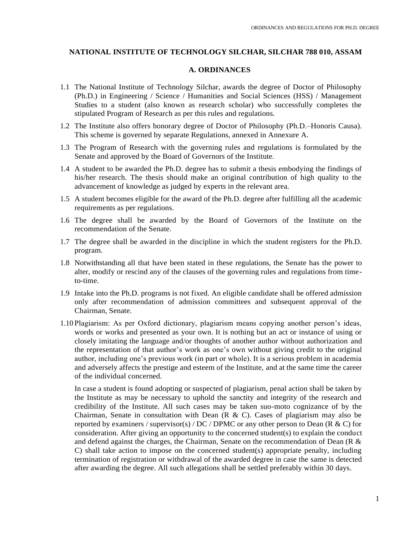## **NATIONAL INSTITUTE OF TECHNOLOGY SILCHAR, SILCHAR 788 010, ASSAM**

### **A. ORDINANCES**

- 1.1 The National Institute of Technology Silchar, awards the degree of Doctor of Philosophy (Ph.D.) in Engineering / Science / Humanities and Social Sciences (HSS) / Management Studies to a student (also known as research scholar) who successfully completes the stipulated Program of Research as per this rules and regulations.
- 1.2 The Institute also offers honorary degree of Doctor of Philosophy (Ph.D.–Honoris Causa). This scheme is governed by separate Regulations, annexed in Annexure A.
- 1.3 The Program of Research with the governing rules and regulations is formulated by the Senate and approved by the Board of Governors of the Institute.
- 1.4 A student to be awarded the Ph.D. degree has to submit a thesis embodying the findings of his/her research. The thesis should make an original contribution of high quality to the advancement of knowledge as judged by experts in the relevant area.
- 1.5 A student becomes eligible for the award of the Ph.D. degree after fulfilling all the academic requirements as per regulations.
- 1.6 The degree shall be awarded by the Board of Governors of the Institute on the recommendation of the Senate.
- 1.7 The degree shall be awarded in the discipline in which the student registers for the Ph.D. program.
- 1.8 Notwithstanding all that have been stated in these regulations, the Senate has the power to alter, modify or rescind any of the clauses of the governing rules and regulations from timeto-time.
- 1.9 Intake into the Ph.D. programs is not fixed. An eligible candidate shall be offered admission only after recommendation of admission committees and subsequent approval of the Chairman, Senate.
- 1.10 Plagiarism: As per Oxford dictionary, plagiarism means copying another person's ideas, words or works and presented as your own. It is nothing but an act or instance of using or closely imitating the language and/or thoughts of another author without authorization and the representation of that author's work as one's own without giving credit to the original author, including one's previous work (in part or whole). It is a serious problem in academia and adversely affects the prestige and esteem of the Institute, and at the same time the career of the individual concerned.

In case a student is found adopting or suspected of plagiarism, penal action shall be taken by the Institute as may be necessary to uphold the sanctity and integrity of the research and credibility of the Institute. All such cases may be taken suo-moto cognizance of by the Chairman, Senate in consultation with Dean  $(R & C)$ . Cases of plagiarism may also be reported by examiners / supervisor(s) / DC / DPMC or any other person to Dean (R & C) for consideration. After giving an opportunity to the concerned student(s) to explain the conduct and defend against the charges, the Chairman, Senate on the recommendation of Dean (R & C) shall take action to impose on the concerned student(s) appropriate penalty, including termination of registration or withdrawal of the awarded degree in case the same is detected after awarding the degree. All such allegations shall be settled preferably within 30 days.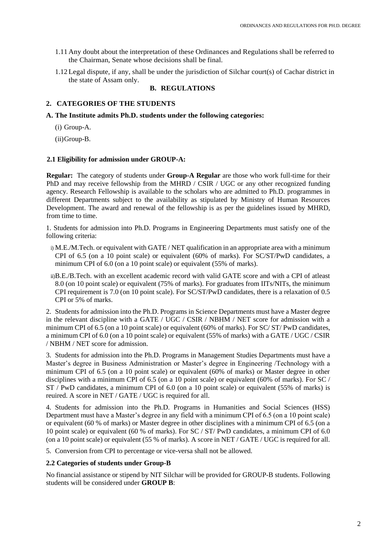- 1.11 Any doubt about the interpretation of these Ordinances and Regulations shall be referred to the Chairman, Senate whose decisions shall be final.
- 1.12 Legal dispute, if any, shall be under the jurisdiction of Silchar court(s) of Cachar district in the state of Assam only.

## **B. REGULATIONS**

## **2. CATEGORIES OF THE STUDENTS**

## **A. The Institute admits Ph.D. students under the following categories:**

(i) Group-A.

(ii)Group-B.

## **2.1 Eligibility for admission under GROUP-A:**

**Regular:** The category of students under **Group-A Regular** are those who work full-time for their PhD and may receive fellowship from the MHRD / CSIR / UGC or any other recognized funding agency. Research Fellowship is available to the scholars who are admitted to Ph.D. programmes in different Departments subject to the availability as stipulated by Ministry of Human Resources Development. The award and renewal of the fellowship is as per the guidelines issued by MHRD, from time to time.

1. Students for admission into Ph.D. Programs in Engineering Departments must satisfy one of the following criteria:

- i) M.E./M.Tech. or equivalent with GATE / NET qualification in an appropriate area with a minimum CPI of 6.5 (on a 10 point scale) or equivalent (60% of marks). For SC/ST/PwD candidates, a minimum CPI of 6.0 (on a 10 point scale) or equivalent (55% of marks).
- ii)B.E./B.Tech. with an excellent academic record with valid GATE score and with a CPI of atleast 8.0 (on 10 point scale) or equivalent (75% of marks). For graduates from IITs/NITs, the minimum CPI requirement is 7.0 (on 10 point scale). For SC/ST/PwD candidates, there is a relaxation of 0.5 CPI or 5% of marks.

2. Students for admission into the Ph.D. Programs in Science Departments must have a Master degree in the relevant discipline with a GATE / UGC / CSIR / NBHM / NET score for admission with a minimum CPI of 6.5 (on a 10 point scale) or equivalent (60% of marks). For SC/ ST/ PwD candidates, a minimum CPI of 6.0 (on a 10 point scale) or equivalent (55% of marks) with a GATE / UGC / CSIR / NBHM / NET score for admission.

3. Students for admission into the Ph.D. Programs in Management Studies Departments must have a Master's degree in Business Administration or Master's degree in Engineering /Technology with a minimum CPI of 6.5 (on a 10 point scale) or equivalent (60% of marks) or Master degree in other disciplines with a minimum CPI of 6.5 (on a 10 point scale) or equivalent (60% of marks). For SC / ST / PwD candidates, a minimum CPI of 6.0 (on a 10 point scale) or equivalent (55% of marks) is reuired. A score in NET / GATE / UGC is required for all.

4. Students for admission into the Ph.D. Programs in Humanities and Social Sciences (HSS) Department must have a Master's degree in any field with a minimum CPI of 6.5 (on a 10 point scale) or equivalent (60 % of marks) or Master degree in other disciplines with a minimum CPI of 6.5 (on a 10 point scale) or equivalent (60 % of marks). For SC / ST/ PwD candidates, a minimum CPI of 6.0 (on a 10 point scale) or equivalent (55 % of marks). A score in NET / GATE / UGC is required for all.

5. Conversion from CPI to percentage or vice-versa shall not be allowed.

## **2.2 Categories of students under Group-B**

No financial assistance or stipend by NIT Silchar will be provided for GROUP-B students. Following students will be considered under **GROUP B**: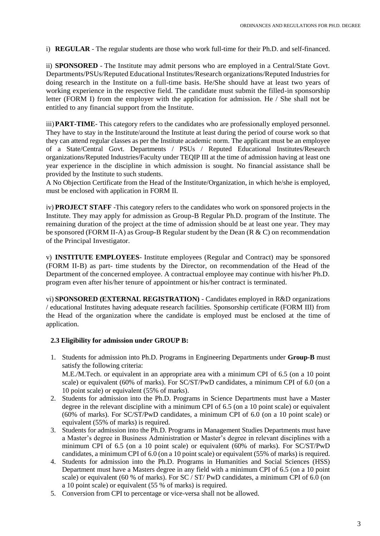i) **REGULAR** - The regular students are those who work full-time for their Ph.D. and self-financed.

ii) **SPONSORED** - The Institute may admit persons who are employed in a Central/State Govt. Departments/PSUs/Reputed Educational Institutes/Research organizations/Reputed Industries for doing research in the Institute on a full-time basis. He/She should have at least two years of working experience in the respective field. The candidate must submit the filled-in sponsorship letter (FORM I) from the employer with the application for admission. He / She shall not be entitled to any financial support from the Institute.

iii) **PART-TIME**- This category refers to the candidates who are professionally employed personnel. They have to stay in the Institute/around the Institute at least during the period of course work so that they can attend regular classes as per the Institute academic norm. The applicant must be an employee of a State/Central Govt. Departments / PSUs / Reputed Educational Institutes/Research organizations/Reputed Industries/Faculty under TEQIP III at the time of admission having at least one year experience in the discipline in which admission is sought. No financial assistance shall be provided by the Institute to such students.

A No Objection Certificate from the Head of the Institute/Organization, in which he/she is employed, must be enclosed with application in FORM II.

iv) **PROJECT STAFF** -This category refers to the candidates who work on sponsored projects in the Institute. They may apply for admission as Group-B Regular Ph.D. program of the Institute. The remaining duration of the project at the time of admission should be at least one year. They may be sponsored (FORM II-A) as Group-B Regular student by the Dean ( $R \& C$ ) on recommendation of the Principal Investigator.

v) **INSTITUTE EMPLOYEES**- Institute employees (Regular and Contract) may be sponsored (FORM II-B) as part- time students by the Director, on recommendation of the Head of the Department of the concerned employee. A contractual employee may continue with his/her Ph.D. program even after his/her tenure of appointment or his/her contract is terminated.

vi) **SPONSORED (EXTERNAL REGISTRATION)** - Candidates employed in R&D organizations / educational Institutes having adequate research facilities. Sponsorship certificate (FORM III) from the Head of the organization where the candidate is employed must be enclosed at the time of application.

## **2.3 Eligibility for admission under GROUP B:**

- 1. Students for admission into Ph.D. Programs in Engineering Departments under **Group-B** must satisfy the following criteria: M.E./M.Tech. or equivalent in an appropriate area with a minimum CPI of 6.5 (on a 10 point scale) or equivalent (60% of marks). For SC/ST/PwD candidates, a minimum CPI of 6.0 (on a 10 point scale) or equivalent (55% of marks).
- 2. Students for admission into the Ph.D. Programs in Science Departments must have a Master degree in the relevant discipline with a minimum CPI of 6.5 (on a 10 point scale) or equivalent (60% of marks). For SC/ST/PwD candidates, a minimum CPI of 6.0 (on a 10 point scale) or equivalent (55% of marks) is required.
- 3. Students for admission into the Ph.D. Programs in Management Studies Departments must have a Master's degree in Business Administration or Master's degree in relevant disciplines with a minimum CPI of 6.5 (on a 10 point scale) or equivalent (60% of marks). For SC/ST/PwD candidates, a minimum CPI of 6.0 (on a 10 point scale) or equivalent (55% of marks) is required.
- 4. Students for admission into the Ph.D. Programs in Humanities and Social Sciences (HSS) Department must have a Masters degree in any field with a minimum CPI of 6.5 (on a 10 point scale) or equivalent (60 % of marks). For SC / ST/ PwD candidates, a minimum CPI of 6.0 (on a 10 point scale) or equivalent (55 % of marks) is required.
- 5. Conversion from CPI to percentage or vice-versa shall not be allowed.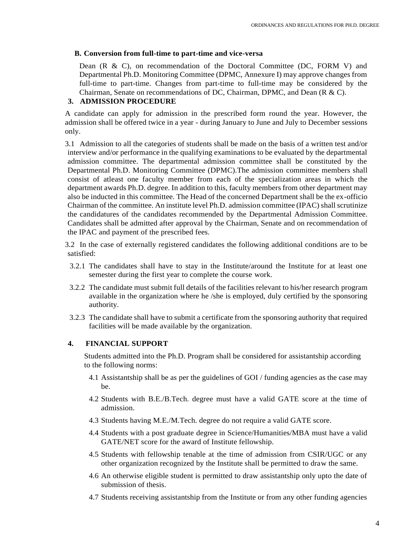## **B. Conversion from full-time to part-time and vice-versa**

Dean (R & C), on recommendation of the Doctoral Committee (DC, FORM V) and Departmental Ph.D. Monitoring Committee (DPMC, Annexure I) may approve changes from full-time to part-time. Changes from part-time to full-time may be considered by the Chairman, Senate on recommendations of DC, Chairman, DPMC, and Dean  $(R & C)$ .

# **3. ADMISSION PROCEDURE**

A candidate can apply for admission in the prescribed form round the year. However, the admission shall be offered twice in a year - during January to June and July to December sessions only.

3.1 Admission to all the categories of students shall be made on the basis of a written test and/or interview and/or performance in the qualifying examinations to be evaluated by the departmental admission committee. The departmental admission committee shall be constituted by the Departmental Ph.D. Monitoring Committee (DPMC).The admission committee members shall consist of atleast one faculty member from each of the specialization areas in which the department awards Ph.D. degree. In addition to this, faculty members from other department may also be inducted in this committee. The Head of the concerned Department shall be the ex-officio Chairman of the committee. An institute level Ph.D. admission committee (IPAC) shall scrutinize the candidatures of the candidates recommended by the Departmental Admission Committee. Candidates shall be admitted after approval by the Chairman, Senate and on recommendation of the IPAC and payment of the prescribed fees.

3.2 In the case of externally registered candidates the following additional conditions are to be satisfied:

- 3.2.1 The candidates shall have to stay in the Institute/around the Institute for at least one semester during the first year to complete the course work.
- 3.2.2 The candidate must submit full details of the facilities relevant to his/her research program available in the organization where he /she is employed, duly certified by the sponsoring authority.
- 3.2.3 The candidate shall have to submit a certificate from the sponsoring authority that required facilities will be made available by the organization.

## **4. FINANCIAL SUPPORT**

Students admitted into the Ph.D. Program shall be considered for assistantship according to the following norms:

- 4.1 Assistantship shall be as per the guidelines of GOI / funding agencies as the case may be.
- 4.2 Students with B.E./B.Tech. degree must have a valid GATE score at the time of admission.
- 4.3 Students having M.E./M.Tech. degree do not require a valid GATE score.
- 4.4 Students with a post graduate degree in Science/Humanities/MBA must have a valid GATE/NET score for the award of Institute fellowship.
- 4.5 Students with fellowship tenable at the time of admission from CSIR/UGC or any other organization recognized by the Institute shall be permitted to draw the same.
- 4.6 An otherwise eligible student is permitted to draw assistantship only upto the date of submission of thesis.
- 4.7 Students receiving assistantship from the Institute or from any other funding agencies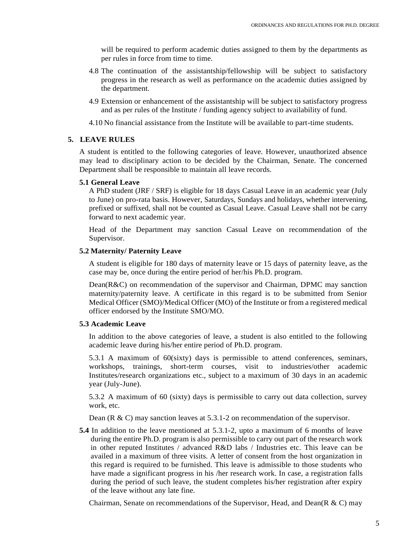will be required to perform academic duties assigned to them by the departments as per rules in force from time to time.

- 4.8 The continuation of the assistantship/fellowship will be subject to satisfactory progress in the research as well as performance on the academic duties assigned by the department.
- 4.9 Extension or enhancement of the assistantship will be subject to satisfactory progress and as per rules of the Institute / funding agency subject to availability of fund.
- 4.10 No financial assistance from the Institute will be available to part-time students.

### **5. LEAVE RULES**

A student is entitled to the following categories of leave. However, unauthorized absence may lead to disciplinary action to be decided by the Chairman, Senate. The concerned Department shall be responsible to maintain all leave records.

#### **5.1 General Leave**

A PhD student (JRF / SRF) is eligible for 18 days Casual Leave in an academic year (July to June) on pro-rata basis. However, Saturdays, Sundays and holidays, whether intervening, prefixed or suffixed, shall not be counted as Casual Leave. Casual Leave shall not be carry forward to next academic year.

Head of the Department may sanction Casual Leave on recommendation of the Supervisor.

### **5.2 Maternity/ Paternity Leave**

A student is eligible for 180 days of maternity leave or 15 days of paternity leave, as the case may be, once during the entire period of her/his Ph.D. program.

Dean(R&C) on recommendation of the supervisor and Chairman, DPMC may sanction maternity/paternity leave. A certificate in this regard is to be submitted from Senior Medical Officer (SMO)/Medical Officer (MO) of the Institute or from a registered medical officer endorsed by the Institute SMO/MO.

## **5.3 Academic Leave**

In addition to the above categories of leave, a student is also entitled to the following academic leave during his/her entire period of Ph.D. program.

5.3.1 A maximum of 60(sixty) days is permissible to attend conferences, seminars, workshops, trainings, short-term courses, visit to industries/other academic Institutes/research organizations etc., subject to a maximum of 30 days in an academic year (July-June).

5.3.2 A maximum of 60 (sixty) days is permissible to carry out data collection, survey work, etc.

Dean (R & C) may sanction leaves at  $5.3.1-2$  on recommendation of the supervisor.

**5.4** In addition to the leave mentioned at 5.3.1-2, upto a maximum of 6 months of leave during the entire Ph.D. program is also permissible to carry out part of the research work in other reputed Institutes / advanced R&D labs / Industries etc. This leave can be availed in a maximum of three visits. A letter of consent from the host organization in this regard is required to be furnished. This leave is admissible to those students who have made a significant progress in his /her research work. In case, a registration falls during the period of such leave, the student completes his/her registration after expiry of the leave without any late fine.

Chairman, Senate on recommendations of the Supervisor, Head, and Dean(R  $\&$  C) may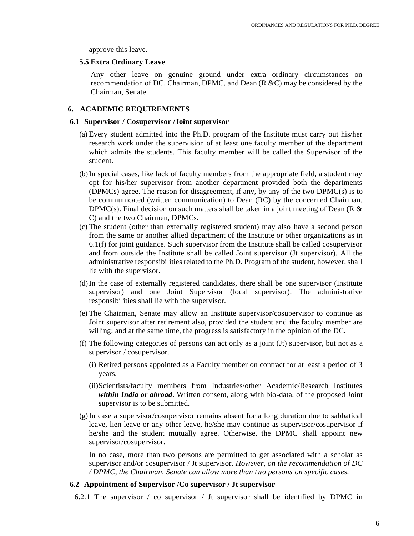approve this leave.

### **5.5 Extra Ordinary Leave**

Any other leave on genuine ground under extra ordinary circumstances on recommendation of DC, Chairman, DPMC, and Dean (R &C) may be considered by the Chairman, Senate.

## **6. ACADEMIC REQUIREMENTS**

### **6.1 Supervisor / Cosupervisor /Joint supervisor**

- (a) Every student admitted into the Ph.D. program of the Institute must carry out his/her research work under the supervision of at least one faculty member of the department which admits the students. This faculty member will be called the Supervisor of the student.
- (b)In special cases, like lack of faculty members from the appropriate field, a student may opt for his/her supervisor from another department provided both the departments (DPMCs) agree. The reason for disagreement, if any, by any of the two DPMC(s) is to be communicated (written communication) to Dean (RC) by the concerned Chairman, DPMC(s). Final decision on such matters shall be taken in a joint meeting of Dean (R  $\&$ C) and the two Chairmen, DPMCs.
- (c) The student (other than externally registered student) may also have a second person from the same or another allied department of the Institute or other organizations as in 6.1(f) for joint guidance. Such supervisor from the Institute shall be called cosupervisor and from outside the Institute shall be called Joint supervisor (Jt supervisor). All the administrative responsibilities related to the Ph.D. Program of the student, however, shall lie with the supervisor.
- (d)In the case of externally registered candidates, there shall be one supervisor (Institute supervisor) and one Joint Supervisor (local supervisor). The administrative responsibilities shall lie with the supervisor.
- (e) The Chairman, Senate may allow an Institute supervisor/cosupervisor to continue as Joint supervisor after retirement also, provided the student and the faculty member are willing; and at the same time, the progress is satisfactory in the opinion of the DC.
- (f) The following categories of persons can act only as a joint (Jt) supervisor, but not as a supervisor / cosupervisor.
	- (i) Retired persons appointed as a Faculty member on contract for at least a period of 3 years.
	- (ii)Scientists/faculty members from Industries/other Academic/Research Institutes *within India or abroad*. Written consent, along with bio-data, of the proposed Joint supervisor is to be submitted.
- (g)In case a supervisor/cosupervisor remains absent for a long duration due to sabbatical leave, lien leave or any other leave, he/she may continue as supervisor/cosupervisor if he/she and the student mutually agree. Otherwise, the DPMC shall appoint new supervisor/cosupervisor.

In no case, more than two persons are permitted to get associated with a scholar as supervisor and/or cosupervisor / Jt supervisor. *However, on the recommendation of DC / DPMC, the Chairman, Senate can allow more than two persons on specific cases.*

### **6.2 Appointment of Supervisor /Co supervisor / Jt supervisor**

6.2.1 The supervisor / co supervisor / Jt supervisor shall be identified by DPMC in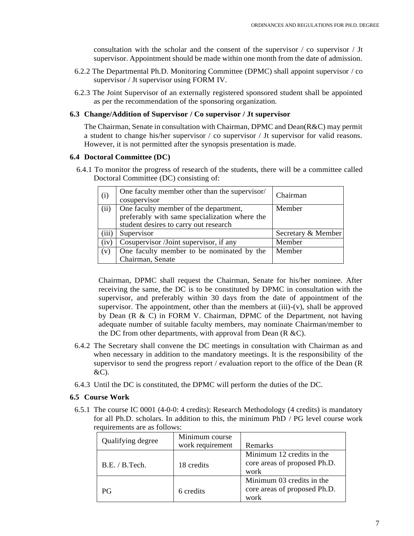consultation with the scholar and the consent of the supervisor  $\ell$  co supervisor  $\ell$  Jt supervisor. Appointment should be made within one month from the date of admission.

- 6.2.2 The Departmental Ph.D. Monitoring Committee (DPMC) shall appoint supervisor / co supervisor / Jt supervisor using FORM IV.
- 6.2.3 The Joint Supervisor of an externally registered sponsored student shall be appointed as per the recommendation of the sponsoring organization.

## **6.3 Change/Addition of Supervisor / Co supervisor / Jt supervisor**

The Chairman, Senate in consultation with Chairman, DPMC and Dean( $R\&C$ ) may permit a student to change his/her supervisor / co supervisor / Jt supervisor for valid reasons. However, it is not permitted after the synopsis presentation is made.

## **6.4 Doctoral Committee (DC)**

6.4.1 To monitor the progress of research of the students, there will be a committee called Doctoral Committee (DC) consisting of:

| (i)   | One faculty member other than the supervisor/<br>cosupervisor | Chairman           |
|-------|---------------------------------------------------------------|--------------------|
| (ii)  | One faculty member of the department,                         | Member             |
|       | preferably with same specialization where the                 |                    |
|       | student desires to carry out research                         |                    |
| (iii) | Supervisor                                                    | Secretary & Member |
| (iv)  | Cosupervisor /Joint supervisor, if any                        | Member             |
| (v)   | One faculty member to be nominated by the                     | Member             |
|       | Chairman, Senate                                              |                    |

Chairman, DPMC shall request the Chairman, Senate for his/her nominee. After receiving the same, the DC is to be constituted by DPMC in consultation with the supervisor, and preferably within 30 days from the date of appointment of the supervisor. The appointment, other than the members at  $(iii)-(v)$ , shall be approved by Dean (R & C) in FORM V. Chairman, DPMC of the Department, not having adequate number of suitable faculty members, may nominate Chairman/member to the DC from other departments, with approval from Dean  $(R \& C)$ .

- 6.4.2 The Secretary shall convene the DC meetings in consultation with Chairman as and when necessary in addition to the mandatory meetings. It is the responsibility of the supervisor to send the progress report / evaluation report to the office of the Dean (R &C).
- 6.4.3 Until the DC is constituted, the DPMC will perform the duties of the DC.

## **6.5 Course Work**

6.5.1 The course IC 0001 (4-0-0: 4 credits): Research Methodology (4 credits) is mandatory for all Ph.D. scholars. In addition to this, the minimum PhD / PG level course work requirements are as follows:

| Qualifying degree | Minimum course<br>work requirement | Remarks                                                           |  |
|-------------------|------------------------------------|-------------------------------------------------------------------|--|
| B.E. / B. Tech.   | 18 credits                         | Minimum 12 credits in the<br>core areas of proposed Ph.D.<br>work |  |
| PG                | 6 credits                          | Minimum 03 credits in the<br>core areas of proposed Ph.D.<br>work |  |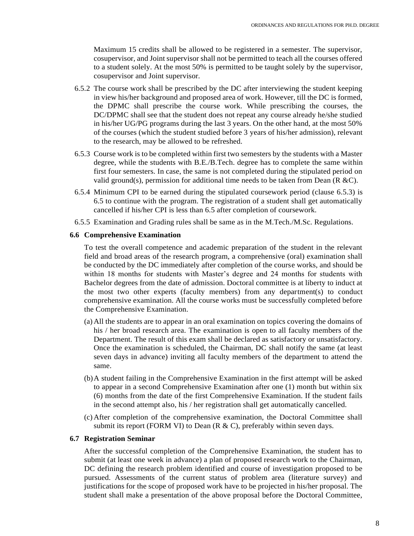Maximum 15 credits shall be allowed to be registered in a semester. The supervisor, cosupervisor, and Joint supervisor shall not be permitted to teach all the courses offered to a student solely. At the most 50% is permitted to be taught solely by the supervisor, cosupervisor and Joint supervisor.

- 6.5.2 The course work shall be prescribed by the DC after interviewing the student keeping in view his/her background and proposed area of work. However, till the DC is formed, the DPMC shall prescribe the course work. While prescribing the courses, the DC/DPMC shall see that the student does not repeat any course already he/she studied in his/her UG/PG programs during the last 3 years. On the other hand, at the most 50% of the courses (which the student studied before 3 years of his/her admission), relevant to the research, may be allowed to be refreshed.
- 6.5.3 Course work is to be completed within first two semesters by the students with a Master degree, while the students with B.E./B.Tech. degree has to complete the same within first four semesters. In case, the same is not completed during the stipulated period on valid ground(s), permission for additional time needs to be taken from Dean ( $R \&C$ ).
- 6.5.4 Minimum CPI to be earned during the stipulated coursework period (clause 6.5.3) is 6.5 to continue with the program. The registration of a student shall get automatically cancelled if his/her CPI is less than 6.5 after completion of coursework.
- 6.5.5 Examination and Grading rules shall be same as in the M.Tech./M.Sc. Regulations.

#### **6.6 Comprehensive Examination**

To test the overall competence and academic preparation of the student in the relevant field and broad areas of the research program, a comprehensive (oral) examination shall be conducted by the DC immediately after completion of the course works, and should be within 18 months for students with Master's degree and 24 months for students with Bachelor degrees from the date of admission. Doctoral committee is at liberty to induct at the most two other experts (faculty members) from any department(s) to conduct comprehensive examination. All the course works must be successfully completed before the Comprehensive Examination.

- (a) All the students are to appear in an oral examination on topics covering the domains of his / her broad research area. The examination is open to all faculty members of the Department. The result of this exam shall be declared as satisfactory or unsatisfactory. Once the examination is scheduled, the Chairman, DC shall notify the same (at least seven days in advance) inviting all faculty members of the department to attend the same.
- (b)A student failing in the Comprehensive Examination in the first attempt will be asked to appear in a second Comprehensive Examination after one (1) month but within six (6) months from the date of the first Comprehensive Examination. If the student fails in the second attempt also, his / her registration shall get automatically cancelled.
- (c) After completion of the comprehensive examination, the Doctoral Committee shall submit its report (FORM VI) to Dean ( $R & C$ ), preferably within seven days.

### **6.7 Registration Seminar**

After the successful completion of the Comprehensive Examination, the student has to submit (at least one week in advance) a plan of proposed research work to the Chairman, DC defining the research problem identified and course of investigation proposed to be pursued. Assessments of the current status of problem area (literature survey) and justifications for the scope of proposed work have to be projected in his/her proposal. The student shall make a presentation of the above proposal before the Doctoral Committee,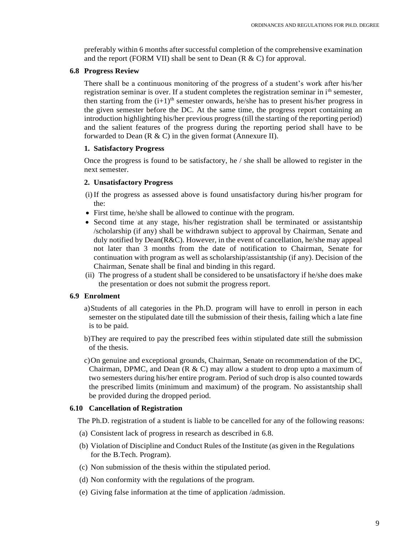preferably within 6 months after successful completion of the comprehensive examination and the report (FORM VII) shall be sent to Dean (R & C) for approval.

### **6.8 Progress Review**

There shall be a continuous monitoring of the progress of a student's work after his/her registration seminar is over. If a student completes the registration seminar in i<sup>th</sup> semester, then starting from the  $(i+1)^{th}$  semester onwards, he/she has to present his/her progress in the given semester before the DC. At the same time, the progress report containing an introduction highlighting his/her previous progress (till the starting of the reporting period) and the salient features of the progress during the reporting period shall have to be forwarded to Dean  $(R & C)$  in the given format (Annexure II).

### **1. Satisfactory Progress**

Once the progress is found to be satisfactory, he / she shall be allowed to register in the next semester.

### **2. Unsatisfactory Progress**

- (i) If the progress as assessed above is found unsatisfactory during his/her program for the:
- First time, he/she shall be allowed to continue with the program.
- Second time at any stage, his/her registration shall be terminated or assistantship /scholarship (if any) shall be withdrawn subject to approval by Chairman, Senate and duly notified by Dean( $R\&C$ ). However, in the event of cancellation, he/she may appeal not later than 3 months from the date of notification to Chairman, Senate for continuation with program as well as scholarship/assistantship (if any). Decision of the Chairman, Senate shall be final and binding in this regard.
- (ii) The progress of a student shall be considered to be unsatisfactory if he/she does make the presentation or does not submit the progress report.

## **6.9 Enrolment**

- a)Students of all categories in the Ph.D. program will have to enroll in person in each semester on the stipulated date till the submission of their thesis, failing which a late fine is to be paid.
- b)They are required to pay the prescribed fees within stipulated date still the submission of the thesis.
- c)On genuine and exceptional grounds, Chairman, Senate on recommendation of the DC, Chairman, DPMC, and Dean  $(R \& C)$  may allow a student to drop upto a maximum of two semesters during his/her entire program. Period of such drop is also counted towards the prescribed limits (minimum and maximum) of the program. No assistantship shall be provided during the dropped period.

### **6.10 Cancellation of Registration**

The Ph.D. registration of a student is liable to be cancelled for any of the following reasons:

- (a) Consistent lack of progress in research as described in 6.8.
- (b) Violation of Discipline and Conduct Rules of the Institute (as given in the Regulations for the B.Tech. Program).
- (c) Non submission of the thesis within the stipulated period.
- (d) Non conformity with the regulations of the program.
- (e) Giving false information at the time of application /admission.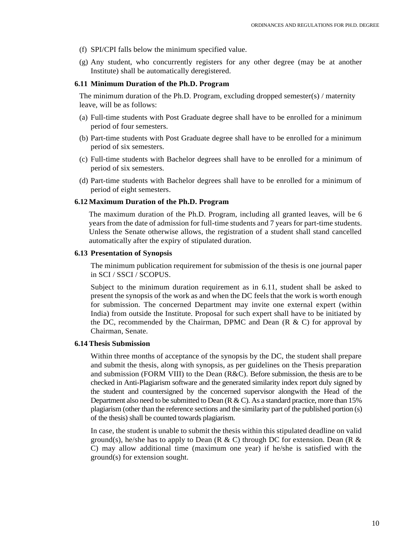- (f) SPI/CPI falls below the minimum specified value.
- (g) Any student, who concurrently registers for any other degree (may be at another Institute) shall be automatically deregistered.

#### **6.11 Minimum Duration of the Ph.D. Program**

The minimum duration of the Ph.D. Program, excluding dropped semester(s) / maternity leave, will be as follows:

- (a) Full-time students with Post Graduate degree shall have to be enrolled for a minimum period of four semesters.
- (b) Part-time students with Post Graduate degree shall have to be enrolled for a minimum period of six semesters.
- (c) Full-time students with Bachelor degrees shall have to be enrolled for a minimum of period of six semesters.
- (d) Part-time students with Bachelor degrees shall have to be enrolled for a minimum of period of eight semesters.

#### **6.12 Maximum Duration of the Ph.D. Program**

The maximum duration of the Ph.D. Program, including all granted leaves, will be 6 years from the date of admission for full-time students and 7 years for part-time students. Unless the Senate otherwise allows, the registration of a student shall stand cancelled automatically after the expiry of stipulated duration.

#### **6.13 Presentation of Synopsis**

The minimum publication requirement for submission of the thesis is one journal paper in SCI / SSCI / SCOPUS.

Subject to the minimum duration requirement as in 6.11, student shall be asked to present the synopsis of the work as and when the DC feels that the work is worth enough for submission. The concerned Department may invite one external expert (within India) from outside the Institute. Proposal for such expert shall have to be initiated by the DC, recommended by the Chairman, DPMC and Dean  $(R \& C)$  for approval by Chairman, Senate.

#### **6.14 Thesis Submission**

Within three months of acceptance of the synopsis by the DC, the student shall prepare and submit the thesis, along with synopsis, as per guidelines on the Thesis preparation and submission (FORM VIII) to the Dean  $(R&C)$ . Before submission, the thesis are to be checked in Anti-Plagiarism software and the generated similarity index report duly signed by the student and countersigned by the concerned supervisor alongwith the Head of the Department also need to be submitted to Dean ( $R \& C$ ). As a standard practice, more than 15% plagiarism (other than the reference sections and the similarity part of the published portion (s) of the thesis) shall be counted towards plagiarism.

In case, the student is unable to submit the thesis within this stipulated deadline on valid ground(s), he/she has to apply to Dean (R & C) through DC for extension. Dean (R & C) may allow additional time (maximum one year) if he/she is satisfied with the ground(s) for extension sought.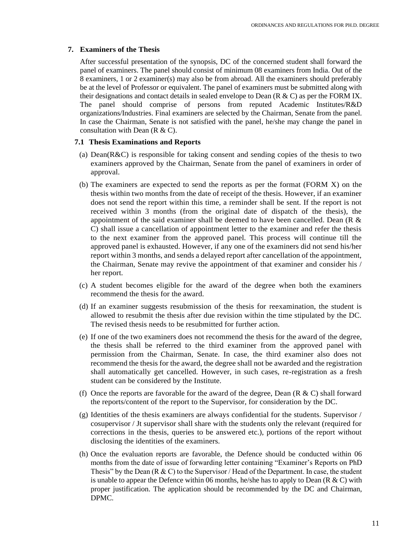## **7. Examiners of the Thesis**

After successful presentation of the synopsis, DC of the concerned student shall forward the panel of examiners. The panel should consist of minimum 08 examiners from India. Out of the 8 examiners, 1 or 2 examiner(s) may also be from abroad. All the examiners should preferably be at the level of Professor or equivalent. The panel of examiners must be submitted along with their designations and contact details in sealed envelope to Dean ( $R \& C$ ) as per the FORM IX. The panel should comprise of persons from reputed Academic Institutes/R&D organizations/Industries. Final examiners are selected by the Chairman, Senate from the panel. In case the Chairman, Senate is not satisfied with the panel, he/she may change the panel in consultation with Dean  $(R & C)$ .

## **7.1 Thesis Examinations and Reports**

- (a) Dean(R&C) is responsible for taking consent and sending copies of the thesis to two examiners approved by the Chairman, Senate from the panel of examiners in order of approval.
- (b) The examiners are expected to send the reports as per the format (FORM X) on the thesis within two months from the date of receipt of the thesis. However, if an examiner does not send the report within this time, a reminder shall be sent. If the report is not received within 3 months (from the original date of dispatch of the thesis), the appointment of the said examiner shall be deemed to have been cancelled. Dean (R & C) shall issue a cancellation of appointment letter to the examiner and refer the thesis to the next examiner from the approved panel. This process will continue till the approved panel is exhausted. However, if any one of the examiners did not send his/her report within 3 months, and sends a delayed report after cancellation of the appointment, the Chairman, Senate may revive the appointment of that examiner and consider his / her report.
- (c) A student becomes eligible for the award of the degree when both the examiners recommend the thesis for the award.
- (d) If an examiner suggests resubmission of the thesis for reexamination, the student is allowed to resubmit the thesis after due revision within the time stipulated by the DC. The revised thesis needs to be resubmitted for further action.
- (e) If one of the two examiners does not recommend the thesis for the award of the degree, the thesis shall be referred to the third examiner from the approved panel with permission from the Chairman, Senate. In case, the third examiner also does not recommend the thesis for the award, the degree shall not be awarded and the registration shall automatically get cancelled. However, in such cases, re-registration as a fresh student can be considered by the Institute.
- (f) Once the reports are favorable for the award of the degree, Dean  $(R & C)$  shall forward the reports/content of the report to the Supervisor, for consideration by the DC.
- (g) Identities of the thesis examiners are always confidential for the students. Supervisor / cosupervisor / Jt supervisor shall share with the students only the relevant (required for corrections in the thesis, queries to be answered etc.), portions of the report without disclosing the identities of the examiners.
- (h) Once the evaluation reports are favorable, the Defence should be conducted within 06 months from the date of issue of forwarding letter containing "Examiner's Reports on PhD Thesis" by the Dean (R & C) to the Supervisor / Head of the Department. In case, the student is unable to appear the Defence within 06 months, he/she has to apply to Dean ( $R & C$ ) with proper justification. The application should be recommended by the DC and Chairman, DPMC.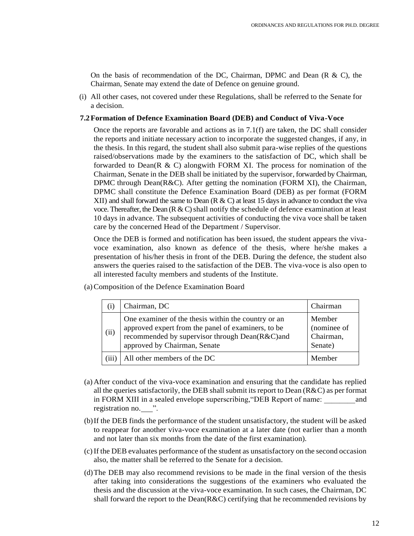On the basis of recommendation of the DC, Chairman, DPMC and Dean  $(R \& C)$ , the Chairman, Senate may extend the date of Defence on genuine ground.

(i) All other cases, not covered under these Regulations, shall be referred to the Senate for a decision.

### **7.2Formation of Defence Examination Board (DEB) and Conduct of Viva-Voce**

Once the reports are favorable and actions as in  $7.1(f)$  are taken, the DC shall consider the reports and initiate necessary action to incorporate the suggested changes, if any, in the thesis. In this regard, the student shall also submit para-wise replies of the questions raised/observations made by the examiners to the satisfaction of DC, which shall be forwarded to Dean( $R \& C$ ) alongwith FORM XI. The process for nomination of the Chairman, Senate in the DEB shall be initiated by the supervisor, forwarded by Chairman, DPMC through Dean( $R\&C$ ). After getting the nomination (FORM XI), the Chairman, DPMC shall constitute the Defence Examination Board (DEB) as per format (FORM XII) and shall forward the same to Dean  $(R & C)$  at least 15 days in advance to conduct the viva voce. Thereafter, the Dean  $(R & C)$  shall notify the schedule of defence examination at least 10 days in advance. The subsequent activities of conducting the viva voce shall be taken care by the concerned Head of the Department / Supervisor.

Once the DEB is formed and notification has been issued, the student appears the vivavoce examination, also known as defence of the thesis, where he/she makes a presentation of his/her thesis in front of the DEB. During the defence, the student also answers the queries raised to the satisfaction of the DEB. The viva-voce is also open to all interested faculty members and students of the Institute.

(a)Composition of the Defence Examination Board

|       | Chairman, DC                                                                                                                                                                                | Chairman                                      |
|-------|---------------------------------------------------------------------------------------------------------------------------------------------------------------------------------------------|-----------------------------------------------|
| (ii)  | One examiner of the thesis within the country or an<br>approved expert from the panel of examiners, to be<br>recommended by supervisor through Dean(R&C)and<br>approved by Chairman, Senate | Member<br>(nominee of<br>Chairman,<br>Senate) |
| (iii) | All other members of the DC                                                                                                                                                                 | Member                                        |

- (a) After conduct of the viva-voce examination and ensuring that the candidate has replied all the queries satisfactorily, the DEB shall submit its report to Dean  $(R&C)$  as per format in FORM XIII in a sealed envelope superscribing, "DEB Report of name: and registration no. \_\_\_ ".
- (b)If the DEB finds the performance of the student unsatisfactory, the student will be asked to reappear for another viva-voce examination at a later date (not earlier than a month and not later than six months from the date of the first examination).
- (c)If the DEB evaluates performance of the student as unsatisfactory on the second occasion also, the matter shall be referred to the Senate for a decision.
- (d)The DEB may also recommend revisions to be made in the final version of the thesis after taking into considerations the suggestions of the examiners who evaluated the thesis and the discussion at the viva-voce examination. In such cases, the Chairman, DC shall forward the report to the Dean( $R&C$ ) certifying that he recommended revisions by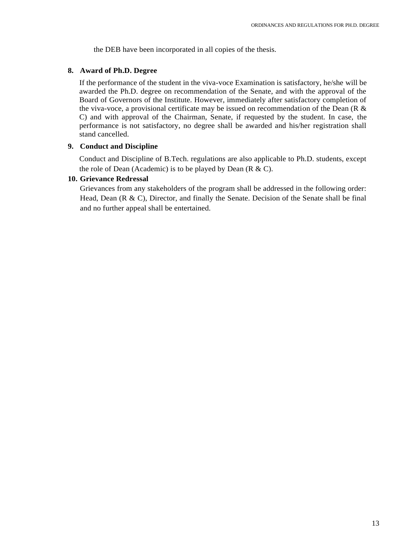the DEB have been incorporated in all copies of the thesis.

## **8. Award of Ph.D. Degree**

If the performance of the student in the viva-voce Examination is satisfactory, he/she will be awarded the Ph.D. degree on recommendation of the Senate, and with the approval of the Board of Governors of the Institute. However, immediately after satisfactory completion of the viva-voce, a provisional certificate may be issued on recommendation of the Dean (R  $\&$ C) and with approval of the Chairman, Senate, if requested by the student. In case, the performance is not satisfactory, no degree shall be awarded and his/her registration shall stand cancelled.

## **9. Conduct and Discipline**

Conduct and Discipline of B.Tech. regulations are also applicable to Ph.D. students, except the role of Dean (Academic) is to be played by Dean (R & C).

## **10. Grievance Redressal**

Grievances from any stakeholders of the program shall be addressed in the following order: Head, Dean  $(R & C)$ , Director, and finally the Senate. Decision of the Senate shall be final and no further appeal shall be entertained.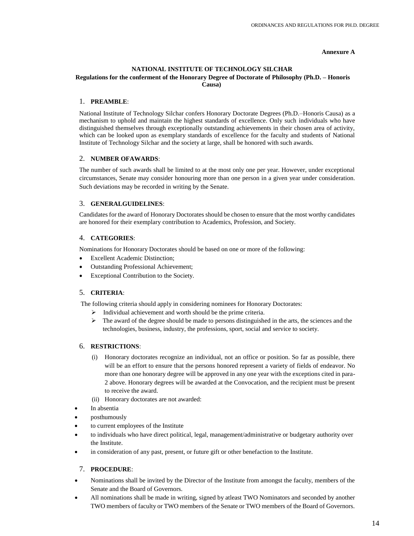#### **Annexure A**

#### **NATIONAL INSTITUTE OF TECHNOLOGY SILCHAR Regulations for the conferment of the Honorary Degree of Doctorate of Philosophy (Ph.D. – Honoris Causa)**

#### 1. **PREAMBLE**:

National Institute of Technology Silchar confers Honorary Doctorate Degrees (Ph.D.–Honoris Causa) as a mechanism to uphold and maintain the highest standards of excellence. Only such individuals who have distinguished themselves through exceptionally outstanding achievements in their chosen area of activity, which can be looked upon as exemplary standards of excellence for the faculty and students of National Institute of Technology Silchar and the society at large, shall be honored with such awards.

#### 2. **NUMBER OFAWARDS**:

The number of such awards shall be limited to at the most only one per year. However, under exceptional circumstances, Senate may consider honouring more than one person in a given year under consideration. Such deviations may be recorded in writing by the Senate.

#### 3. **GENERALGUIDELINES**:

Candidates for the award of Honorary Doctorates should be chosen to ensure that the most worthy candidates are honored for their exemplary contribution to Academics, Profession, and Society.

### 4. **CATEGORIES**:

Nominations for Honorary Doctorates should be based on one or more of the following:

- Excellent Academic Distinction;
- Outstanding Professional Achievement;
- Exceptional Contribution to the Society.

### 5. **CRITERIA**:

The following criteria should apply in considering nominees for Honorary Doctorates:

- $\triangleright$  Individual achievement and worth should be the prime criteria.
- $\triangleright$  The award of the degree should be made to persons distinguished in the arts, the sciences and the technologies, business, industry, the professions, sport, social and service to society.

### 6. **RESTRICTIONS**:

- (i) Honorary doctorates recognize an individual, not an office or position. So far as possible, there will be an effort to ensure that the persons honored represent a variety of fields of endeavor. No more than one honorary degree will be approved in any one year with the exceptions cited in para-2 above. Honorary degrees will be awarded at the Convocation, and the recipient must be present to receive the award.
- (ii) Honorary doctorates are not awarded:
- In absentia
- posthumously
- to current employees of the Institute
- to individuals who have direct political, legal, management/administrative or budgetary authority over the Institute.
- in consideration of any past, present, or future gift or other benefaction to the Institute.

### 7. **PROCEDURE**:

- Nominations shall be invited by the Director of the Institute from amongst the faculty, members of the Senate and the Board of Governors.
- All nominations shall be made in writing, signed by atleast TWO Nominators and seconded by another TWO members of faculty or TWO members of the Senate or TWO members of the Board of Governors.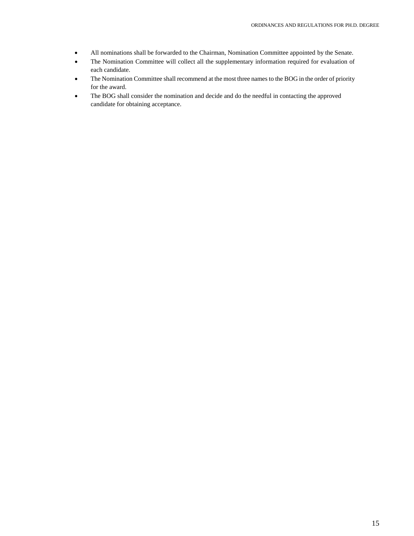- All nominations shall be forwarded to the Chairman, Nomination Committee appointed by the Senate.
- The Nomination Committee will collect all the supplementary information required for evaluation of each candidate.
- The Nomination Committee shall recommend at the most three names to the BOG in the order of priority for the award.
- The BOG shall consider the nomination and decide and do the needful in contacting the approved candidate for obtaining acceptance.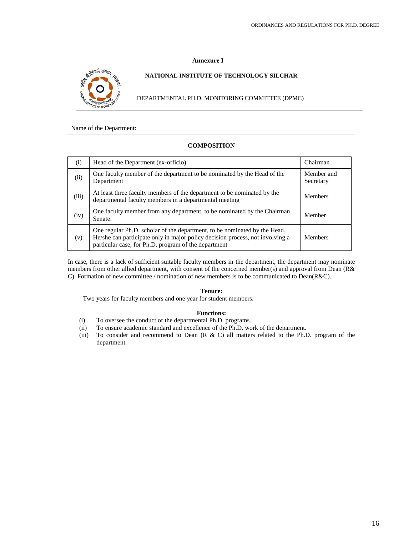#### **Annexure I**



#### **NATIONAL INSTITUTE OF TECHNOLOGY SILCHAR**

DEPARTMENTAL PH.D. MONITORING COMMITTEE (DPMC)

Name of the Department:

## **COMPOSITION**

| (i)   | Head of the Department (ex-officio)                                                                                                                                                                                | Chairman                |
|-------|--------------------------------------------------------------------------------------------------------------------------------------------------------------------------------------------------------------------|-------------------------|
| (ii)  | One faculty member of the department to be nominated by the Head of the<br>Department                                                                                                                              | Member and<br>Secretary |
| (iii) | At least three faculty members of the department to be nominated by the<br>departmental faculty members in a departmental meeting                                                                                  | <b>Members</b>          |
| (iv)  | One faculty member from any department, to be nominated by the Chairman,<br>Senate.                                                                                                                                | Member                  |
| (v)   | One regular Ph.D. scholar of the department, to be nominated by the Head.<br>He/she can participate only in major policy decision process, not involving a<br>particular case, for Ph.D. program of the department | <b>Members</b>          |

In case, there is a lack of sufficient suitable faculty members in the department, the department may nominate members from other allied department, with consent of the concerned member(s) and approval from Dean (R& C). Formation of new committee / nomination of new members is to be communicated to Dean(R&C).

#### **Tenure:**

Two years for faculty members and one year for student members.

#### **Functions:**

- (i) To oversee the conduct of the departmental Ph.D. programs.
- (ii) To ensure academic standard and excellence of the Ph.D. work of the department.
- (iii) To consider and recommend to Dean (R & C) all matters related to the Ph.D. program of the department.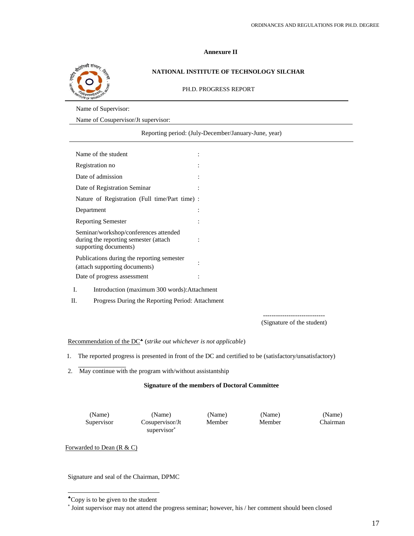#### **Annexure II**



### **NATIONAL INSTITUTE OF TECHNOLOGY SILCHAR**

PH.D. PROGRESS REPORT

Name of Supervisor:

Name of Cosupervisor/Jt supervisor:

Reporting period: (July-December/January-June, year)

| Name of the student                                                                                     |                |
|---------------------------------------------------------------------------------------------------------|----------------|
| Registration no                                                                                         |                |
| Date of admission                                                                                       | $\ddot{\cdot}$ |
| Date of Registration Seminar                                                                            |                |
| Nature of Registration (Full time/Part time) :                                                          |                |
| Department                                                                                              |                |
| <b>Reporting Semester</b>                                                                               |                |
| Seminar/workshop/conferences attended<br>during the reporting semester (attach<br>supporting documents) |                |
| Publications during the reporting semester<br>(attach supporting documents)                             |                |
| Date of progress assessment                                                                             |                |

I. Introduction (maximum 300 words):Attachment

II. Progress During the Reporting Period: Attachment

----------------------------- (Signature of the student)

Recommendation of the DC (*strike out whichever is not applicable*)

- 1. The reported progress is presented in front of the DC and certified to be (satisfactory/unsatisfactory)
- 2. May continue with the program with/without assistantship

#### **Signature of the members of Doctoral Committee**

(Name) (Name) (Name) (Name) (Name)

Supervisor Cosupervisor/Jt supervisor

Member Member Chairman

Forwarded to Dean (R & C)

Signature and seal of the Chairman, DPMC

Copy is to be given to the student

<sup>\*</sup> Joint supervisor may not attend the progress seminar; however, his / her comment should been closed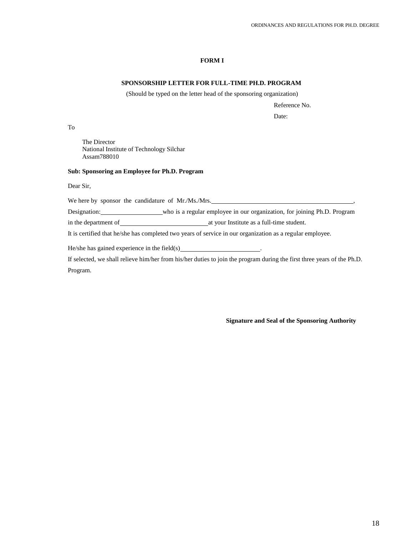### **FORM I**

### **SPONSORSHIP LETTER FOR FULL-TIME PH.D. PROGRAM**

(Should be typed on the letter head of the sponsoring organization)

Reference No.

Date:

To

The Director National Institute of Technology Silchar Assam788010

#### **Sub: Sponsoring an Employee for Ph.D. Program**

Dear Sir,

We here by sponsor the candidature of Mr./Ms./Mrs.

Designation: who is a regular employee in our organization, for joining Ph.D. Program

in the department of at your Institute as a full-time student.

It is certified that he/she has completed two years of service in our organization as a regular employee.

He/she has gained experience in the field(s)

If selected, we shall relieve him/her from his/her duties to join the program during the first three years of the Ph.D. Program.

**Signature and Seal of the Sponsoring Authority**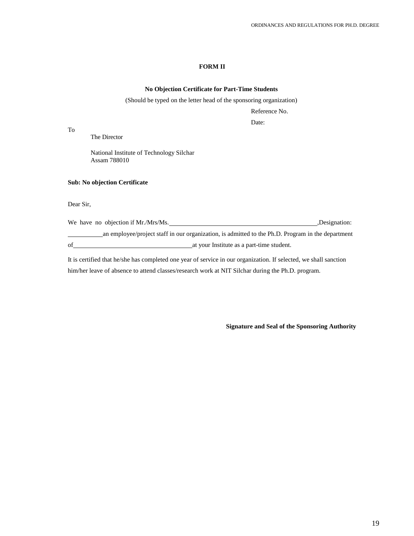### **FORM II**

#### **No Objection Certificate for Part-Time Students**

(Should be typed on the letter head of the sponsoring organization)

Reference No.

Date:

To

The Director

National Institute of Technology Silchar Assam 788010

#### **Sub: No objection Certificate**

Dear Sir,

We have no objection if Mr./Mrs/Ms. 6. (2012) 1996 1997 10:30 AM and the U.S. (2014) 1997 10:30 AM and the U.S. (2014) 1997 10:30 AM and the U.S. (2014) 1997 10:30 AM and the U.S. (2014) 1997 10:30 AM and the U.S. (2014) 1 an employee/project staff in our organization, is admitted to the Ph.D. Program in the department of at your Institute as a part-time student.

It is certified that he/she has completed one year of service in our organization. If selected, we shall sanction him/her leave of absence to attend classes/research work at NIT Silchar during the Ph.D. program.

**Signature and Seal of the Sponsoring Authority**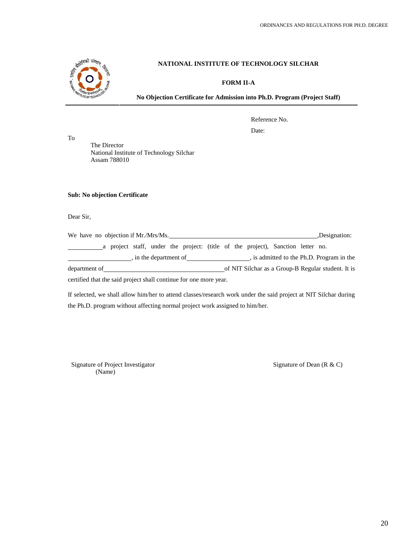

### **FORM II-A**

**No Objection Certificate for Admission into Ph.D. Program (Project Staff)**

Reference No.

Date:

The Director National Institute of Technology Silchar Assam 788010

**Sub: No objection Certificate**

Dear Sir,

To

| We have no objection if Mr./Mrs/Ms.                               |  |  |  |  |                      |  |  |                                                                                 | ,Designation:                                      |
|-------------------------------------------------------------------|--|--|--|--|----------------------|--|--|---------------------------------------------------------------------------------|----------------------------------------------------|
|                                                                   |  |  |  |  |                      |  |  | a project staff, under the project: (title of the project), Sanction letter no. |                                                    |
|                                                                   |  |  |  |  | in the department of |  |  |                                                                                 | s is admitted to the Ph.D. Program in the          |
| department of                                                     |  |  |  |  |                      |  |  |                                                                                 | of NIT Silchar as a Group-B Regular student. It is |
| certified that the said project shall continue for one more year. |  |  |  |  |                      |  |  |                                                                                 |                                                    |

If selected, we shall allow him/her to attend classes/research work under the said project at NIT Silchar during the Ph.D. program without affecting normal project work assigned to him/her.

Signature of Project Investigator (Name)

Signature of Dean (R & C)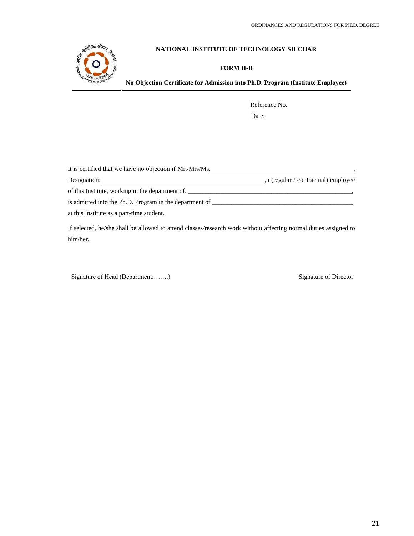

## **FORM II-B**

**No Objection Certificate for Admission into Ph.D. Program (Institute Employee)**

Reference No.

Date:

| It is certified that we have no objection if Mr./Mrs/Ms. |                                                                                  |  |  |  |
|----------------------------------------------------------|----------------------------------------------------------------------------------|--|--|--|
| Designation:                                             | a (regular / contractual) employee                                               |  |  |  |
| of this Institute, working in the department of.         | ,我们也不能在这里的时候,我们也不能会在这里,我们也不能会在这里的时候,我们也不能会在这里的时候,我们也不能会在这里的时候,我们也不能会在这里的时候,我们也不能 |  |  |  |
| is admitted into the Ph.D. Program in the department of  |                                                                                  |  |  |  |
| at this Institute as a part-time student.                |                                                                                  |  |  |  |

If selected, he/she shall be allowed to attend classes/research work without affecting normal duties assigned to him/her.

Signature of Head (Department:.......) Signature of Director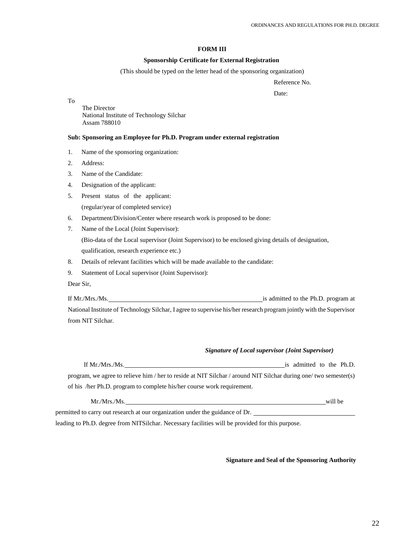### **FORM III**

#### **Sponsorship Certificate for External Registration**

(This should be typed on the letter head of the sponsoring organization)

Reference No.

Date:

To

The Director National Institute of Technology Silchar Assam 788010

#### **Sub: Sponsoring an Employee for Ph.D. Program under external registration**

- 1. Name of the sponsoring organization:
- 2. Address:
- 3. Name of the Candidate:
- 4. Designation of the applicant:
- 5. Present status of the applicant: (regular/year of completed service)
- 6. Department/Division/Center where research work is proposed to be done:
- 7. Name of the Local (Joint Supervisor): (Bio-data of the Local supervisor (Joint Supervisor) to be enclosed giving details of designation, qualification, research experience etc.)
- 8. Details of relevant facilities which will be made available to the candidate:
- 9. Statement of Local supervisor (Joint Supervisor):

Dear Sir,

If Mr./Mrs./Ms. is admitted to the Ph.D. program at National Institute of Technology Silchar, I agree to supervise his/her research program jointly with the Supervisor from NIT Silchar.

#### *Signature of Local supervisor (Joint Supervisor)*

| If Mr./Mrs./Ms.                                                                                                  | is admitted to the Ph.D. |  |  |
|------------------------------------------------------------------------------------------------------------------|--------------------------|--|--|
| program, we agree to relieve him / her to reside at NIT Silchar / around NIT Silchar during one/ two semester(s) |                          |  |  |
| of his /her Ph.D. program to complete his/her course work requirement.                                           |                          |  |  |

| Mr.Mrs.Ms.                                                                    | will be |
|-------------------------------------------------------------------------------|---------|
| permitted to carry out research at our organization under the guidance of Dr. |         |

leading to Ph.D. degree from NITSilchar. Necessary facilities will be provided for this purpose.

**Signature and Seal of the Sponsoring Authority**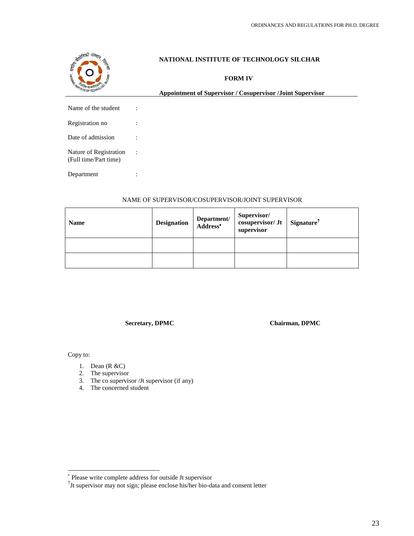

**FORM IV**

**Appointment of Supervisor / Cosupervisor /Joint Supervisor**

Name of the student :

| Registration no |  |
|-----------------|--|
|                 |  |

Date of admission :

Nature of Registration : (Full time/Part time)

Department :

## NAME OF SUPERVISOR/COSUPERVISOR/JOINT SUPERVISOR

| <b>Name</b> | <b>Designation</b> | Department/<br>Address* | Supervisor/<br>cosupervisor/Jt<br>supervisor | $\frac{1}{2}$ Signature <sup>†</sup> |
|-------------|--------------------|-------------------------|----------------------------------------------|--------------------------------------|
|             |                    |                         |                                              |                                      |
|             |                    |                         |                                              |                                      |

**Secretary, DPMC Chairman, DPMC**

Copy to:

- 1. Dean (R &C)
- 2. The supervisor
- 3. The co supervisor /Jt supervisor (if any)
- 4. The concerned student

Please write complete address for outside Jt supervisor

 $\hat{J}$ t supervisor may not sign; please enclose his/her bio-data and consent letter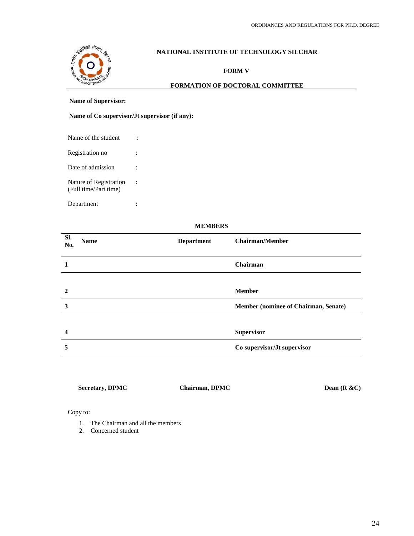

### **FORM V**

### **FORMATION OF DOCTORAL COMMITTEE**

### **Name of Supervisor:**

### **Name of Co supervisor/Jt supervisor (if any):**

Name of the student :

Registration no :

Date of admission :

Nature of Registration : (Full time/Part time)

Department :

### **MEMBERS**

| Sl.<br>No.   | <b>Name</b> | <b>Department</b> | <b>Chairman/Member</b>               |
|--------------|-------------|-------------------|--------------------------------------|
|              |             |                   | <b>Chairman</b>                      |
|              |             |                   |                                      |
| $\mathbf{2}$ |             |                   | <b>Member</b>                        |
| 3            |             |                   | Member (nominee of Chairman, Senate) |
|              |             |                   |                                      |
| 4            |             |                   | Supervisor                           |
| 5            |             |                   | Co supervisor/Jt supervisor          |

**Secretary, DPMC Chairman, DPMC Dean (R &C)**

Copy to:

- 1. The Chairman and all the members
- 2. Concerned student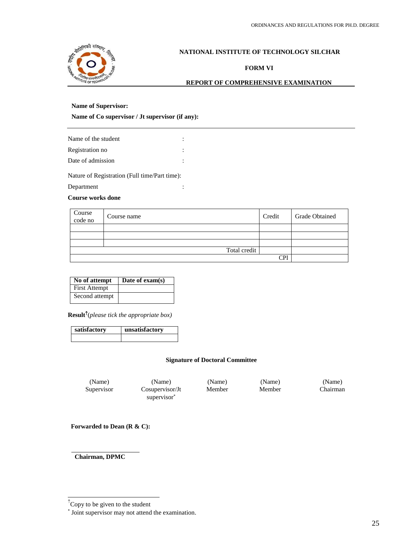

**FORM VI**

### **REPORT OF COMPREHENSIVE EXAMINATION**

#### **Name of Supervisor:**

**Name of Co supervisor / Jt supervisor (if any):**

| Name of the student                           |  |
|-----------------------------------------------|--|
| Registration no                               |  |
| Date of admission                             |  |
| Nature of Registration (Full time/Part time): |  |
| Department                                    |  |

#### **Course works done**

| Course<br>code no | Course name  | Credit    | <b>Grade Obtained</b> |
|-------------------|--------------|-----------|-----------------------|
|                   |              |           |                       |
|                   |              |           |                       |
|                   |              |           |                       |
|                   | Total credit |           |                       |
|                   |              | $\cap$ di |                       |

| No of attempt        | Date of $exam(s)$ |
|----------------------|-------------------|
| <b>First Attempt</b> |                   |
| Second attempt       |                   |

**Result** (*please tick the appropriate box)*

| satisfactory | unsatisfactory |  |  |
|--------------|----------------|--|--|
|              |                |  |  |

#### **Signature of Doctoral Committee**

Supervisor Cosupervisor/Jt supervisor

(Name) (Name) (Name) (Name) (Name) Member Member Chairman

**Forwarded to Dean (R & C):**

**Chairman, DPMC**

 $^{\uparrow}$ Copy to be given to the student

Joint supervisor may not attend the examination.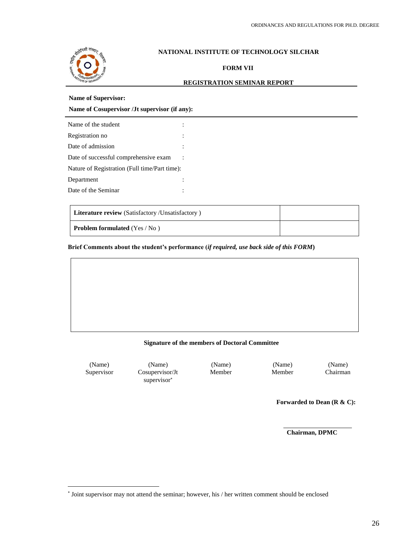

## **FORM VII**

## **REGISTRATION SEMINAR REPORT**

#### **Name of Supervisor:**

**Name of Cosupervisor /Jt supervisor (if any):**

| Name of the student                           |  |
|-----------------------------------------------|--|
| Registration no                               |  |
| Date of admission                             |  |
| Date of successful comprehensive exam         |  |
| Nature of Registration (Full time/Part time): |  |
| Department                                    |  |
| Date of the Seminar                           |  |

| Literature review (Satisfactory /Unsatisfactory) |  |
|--------------------------------------------------|--|
| <b>Problem formulated</b> $(Yes / No)$           |  |

**Brief Comments about the student's performance (***if required, use back side of this FORM***)**

#### **Signature of the members of Doctoral Committee**

(Name) (Name) (Name) (Name) (Name) Supervisor Cosupervisor/Jt supervisor

Member Member Chairman

**Forwarded to Dean (R & C):**

**Chairman, DPMC**

<sup>\*</sup> Joint supervisor may not attend the seminar; however, his / her written comment should be enclosed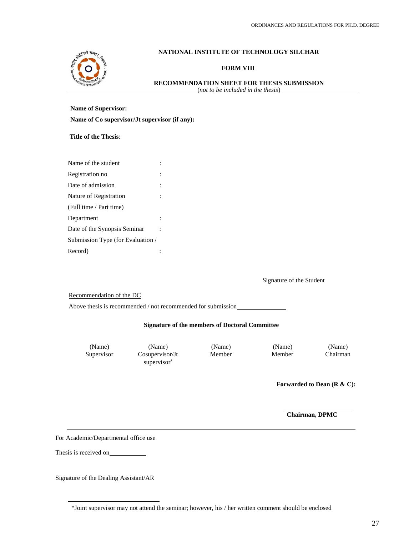

### **FORM VIII**

#### **RECOMMENDATION SHEET FOR THESIS SUBMISSION** (*not to be included in the thesis*)

### **Name of Supervisor:**

| Name of Co supervisor/Jt supervisor (if any): |  |  |
|-----------------------------------------------|--|--|
|-----------------------------------------------|--|--|

**Title of the Thesis**:

| Name of the student               |  |
|-----------------------------------|--|
| Registration no                   |  |
| Date of admission                 |  |
| Nature of Registration            |  |
| (Full time / Part time)           |  |
| Department                        |  |
| Date of the Synopsis Seminar      |  |
| Submission Type (for Evaluation / |  |
| Record)                           |  |

Signature of the Student

Recommendation of the DC

Above thesis is recommended / not recommended for submission

#### **Signature of the members of Doctoral Committee**

Supervisor Cosupervisor/Jt supervisor

(Name) (Name) (Name) (Name) (Name) Member Member Chairman

**Forwarded to Dean (R & C):**

**Chairman, DPMC**

For Academic/Departmental office use

Thesis is received on

Signature of the Dealing Assistant/AR

<sup>\*</sup>Joint supervisor may not attend the seminar; however, his / her written comment should be enclosed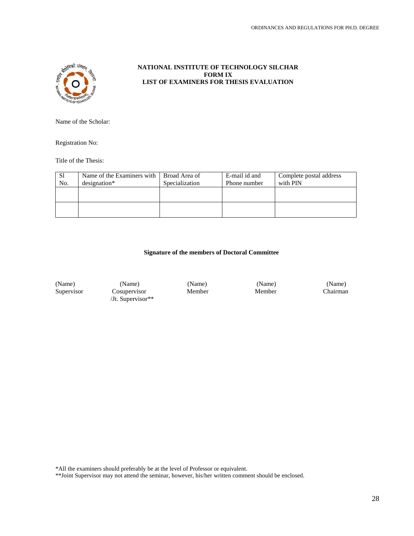

### **NATIONAL INSTITUTE OF TECHNOLOGY SILCHAR FORM IX LIST OF EXAMINERS FOR THESIS EVALUATION**

Name of the Scholar:

Registration No:

Title of the Thesis:

| -S1<br>No. | Name of the Examiners with   Broad Area of<br>designation* | Specialization | E-mail id and<br>Phone number | Complete postal address<br>with PIN |
|------------|------------------------------------------------------------|----------------|-------------------------------|-------------------------------------|
|            |                                                            |                |                               |                                     |
|            |                                                            |                |                               |                                     |

### **Signature of the members of Doctoral Committee**

(Name) (Name) (Name) (Name) (Name) Supervisor Cosupervisor Member Member Chairman /Jt. Supervisor\*\*

\*All the examiners should preferably be at the level of Professor or equivalent.

\*\*Joint Supervisor may not attend the seminar, however, his/her written comment should be enclosed.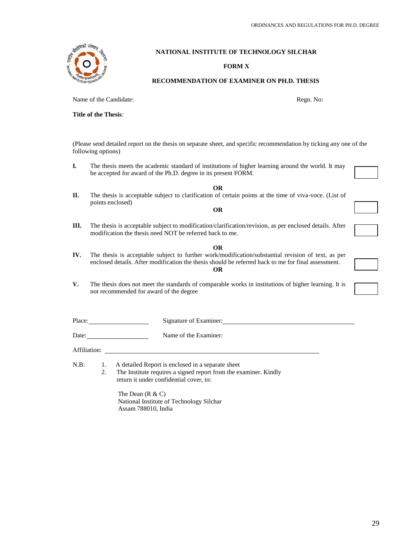## **FORM X**

## **RECOMMENDATION OF EXAMINER ON PH.D. THESIS**

Name of the Candidate:  $\Box$  Regn. No:

**Title of the Thesis**:

(Please send detailed report on the thesis on separate sheet, and specific recommendation by ticking any one of the following options)

- **I.** The thesis meets the academic standard of institutions of higher learning around the world. It may be accepted for award of the Ph.D. degree in its present FORM.
- **OR II.** The thesis is acceptable subject to clarification of certain points at the time of viva-voce. (List of points enclosed)
- **III.** The thesis is acceptable subject to modification/clarification/revision, as per enclosed details. After modification the thesis need NOT be referred back to me.

**OR**

- **OR**
- **IV.** The thesis is acceptable subject to further work/modification/substantial revision of text, as per enclosed details. After modification the thesis should be referred back to me for final assessment. **OR**
- **V.** The thesis does not meet the standards of comparable works in institutions of higher learning. It is not recommended for award of the degree

Place: Signature of Examiner:

Date: Name of the Examiner:

Affiliation:

N.B: 1. A detailed Report is enclosed in a separate sheet

2. The Institute requires a signed report from the examiner. Kindly return it under confidential cover, to:

The Dean  $(R & C)$ National Institute of Technology Silchar Assam 788010, India



| .      |  |
|--------|--|
|        |  |
| I<br>I |  |
|        |  |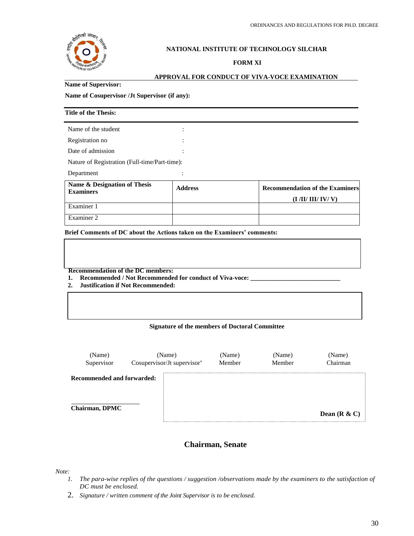

### **FORM XI**

#### **APPROVAL FOR CONDUCT OF VIVA-VOCE EXAMINATION**

#### **Name of Supervisor:**

#### **Name of Cosupervisor /Jt Supervisor (if any):**

| <b>Title of the Thesis:</b>                      |                |                                                            |
|--------------------------------------------------|----------------|------------------------------------------------------------|
| Name of the student                              |                |                                                            |
| Registration no                                  |                |                                                            |
| Date of admission                                |                |                                                            |
| Nature of Registration (Full-time/Part-time):    |                |                                                            |
| Department                                       |                |                                                            |
| Name & Designation of Thesis<br><b>Examiners</b> | <b>Address</b> | <b>Recommendation of the Examiners</b><br>(I/II/III/IV/ V) |
| Examiner 1                                       |                |                                                            |
| Examiner 2                                       |                |                                                            |

**Brief Comments of DC about the Actions taken on the Examiners' comments:**

 **Recommendation of the DC members:**

**1. Recommended / Not Recommended for conduct of Viva-voce: \_\_\_\_\_\_\_\_\_\_\_\_\_\_\_\_\_\_\_\_\_\_\_\_\_\_\_\_**

**2. Justification if Not Recommended:**

#### **Signature of the members of Doctoral Committee**

| (Name)<br>Supervisor              | (Name)<br>Cosupervisor/Jt supervisor* | (Name)<br>Member | (Name)<br>Member | (Name)<br>Chairman |
|-----------------------------------|---------------------------------------|------------------|------------------|--------------------|
| <b>Recommended and forwarded:</b> |                                       |                  |                  |                    |
| <b>Chairman, DPMC</b>             |                                       |                  |                  | Dean $(R & C)$     |

## **Chairman, Senate**

*Note:*

- *1. The para-wise replies of the questions / suggestion /observations made by the examiners to the satisfaction of DC must be enclosed.*
- 2. *Signature / written comment of the Joint Supervisor is to be enclosed.*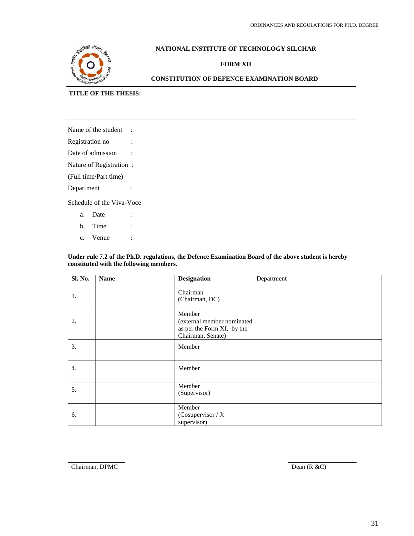

## **FORM XII**

## **CONSTITUTION OF DEFENCE EXAMINATION BOARD**

## **TITLE OF THE THESIS:**

| Name of the student       |  |  |
|---------------------------|--|--|
| Registration no           |  |  |
| Date of admission         |  |  |
| Nature of Registration:   |  |  |
| (Full time/Part time)     |  |  |
| Department                |  |  |
| Schedule of the Viva-Voce |  |  |

a. Date :

- b. Time :
- c. Venue :

#### **Under rule 7.2 of the Ph.D. regulations, the Defence Examination Board of the above student is hereby constituted with the following members.**

| <b>Sl. No.</b> | <b>Name</b> | <b>Designation</b>                                                                      | Department |
|----------------|-------------|-----------------------------------------------------------------------------------------|------------|
| 1.             |             | Chairman<br>(Chairman, DC)                                                              |            |
| 2.             |             | Member<br>(external member nominated<br>as per the Form XI, by the<br>Chairman, Senate) |            |
| 3.             |             | Member                                                                                  |            |
| 4.             |             | Member                                                                                  |            |
| 5.             |             | Member<br>(Supervisor)                                                                  |            |
| 6.             |             | Member<br>(Cosupervisor / Jt<br>supervisor)                                             |            |

Chairman, DPMC Dean (R &C)